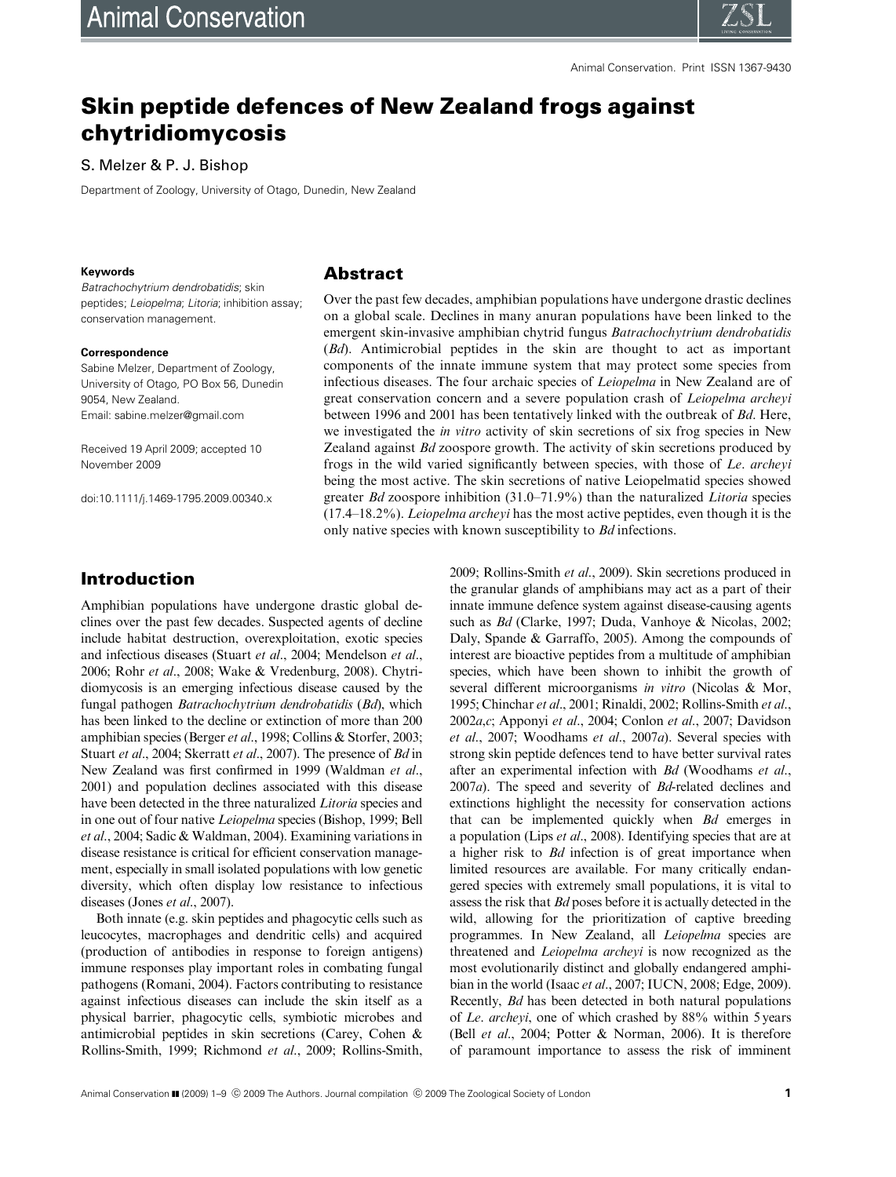

# Skin peptide defences of New Zealand frogs against chytridiomycosis

S. Melzer & P. J. Bishop

Department of Zoology, University of Otago, Dunedin, New Zealand

#### **Keywords**

Batrachochytrium dendrobatidis; skin peptides; Leiopelma; Litoria; inhibition assay; conservation management.

#### **Correspondence**

Sabine Melzer, Department of Zoology, University of Otago, PO Box 56, Dunedin 9054, New Zealand. Email: [sabine.melzer@gmail.com](mailto:sabine.melzer@gmail.com)

Received 19 April 2009; accepted 10 November 2009

doi:10.1111/j.1469-1795.2009.00340.x

# Abstract

Over the past few decades, amphibian populations have undergone drastic declines on a global scale. Declines in many anuran populations have been linked to the emergent skin-invasive amphibian chytrid fungus Batrachochytrium dendrobatidis (Bd). Antimicrobial peptides in the skin are thought to act as important components of the innate immune system that may protect some species from infectious diseases. The four archaic species of Leiopelma in New Zealand are of great conservation concern and a severe population crash of Leiopelma archeyi between 1996 and 2001 has been tentatively linked with the outbreak of Bd. Here, we investigated the in vitro activity of skin secretions of six frog species in New Zealand against Bd zoospore growth. The activity of skin secretions produced by frogs in the wild varied significantly between species, with those of Le. archeyi being the most active. The skin secretions of native Leiopelmatid species showed greater  $Bd$  zoospore inhibition (31.0–71.9%) than the naturalized *Litoria* species (17.4–18.2%). Leiopelma archeyi has the most active peptides, even though it is the only native species with known susceptibility to Bd infections.

### Introduction

Amphibian populations have undergone drastic global declines over the past few decades. Suspected agents of decline include habitat destruction, overexploitation, exotic species and infectious diseases (Stuart et al., 2004; Mendelson et al., 2006; Rohr et al., 2008; Wake & Vredenburg, 2008). Chytridiomycosis is an emerging infectious disease caused by the fungal pathogen Batrachochytrium dendrobatidis (Bd), which has been linked to the decline or extinction of more than 200 amphibian species (Berger et al., 1998; Collins & Storfer, 2003; Stuart et al., 2004; Skerratt et al., 2007). The presence of Bd in New Zealand was first confirmed in 1999 (Waldman et al., 2001) and population declines associated with this disease have been detected in the three naturalized *Litoria* species and in one out of four native Leiopelma species (Bishop, 1999; Bell et al., 2004; Sadic & Waldman, 2004). Examining variations in disease resistance is critical for efficient conservation management, especially in small isolated populations with low genetic diversity, which often display low resistance to infectious diseases (Jones et al., 2007).

Both innate (e.g. skin peptides and phagocytic cells such as leucocytes, macrophages and dendritic cells) and acquired (production of antibodies in response to foreign antigens) immune responses play important roles in combating fungal pathogens (Romani, 2004). Factors contributing to resistance against infectious diseases can include the skin itself as a physical barrier, phagocytic cells, symbiotic microbes and antimicrobial peptides in skin secretions (Carey, Cohen & Rollins-Smith, 1999; Richmond et al., 2009; Rollins-Smith,

2009; Rollins-Smith et al., 2009). Skin secretions produced in the granular glands of amphibians may act as a part of their innate immune defence system against disease-causing agents such as Bd (Clarke, 1997; Duda, Vanhoye & Nicolas, 2002; Daly, Spande & Garraffo, 2005). Among the compounds of interest are bioactive peptides from a multitude of amphibian species, which have been shown to inhibit the growth of several different microorganisms in vitro (Nicolas & Mor, 1995; Chinchar et al., 2001; Rinaldi, 2002; Rollins-Smith et al., 2002a,c; Apponyi et al., 2004; Conlon et al., 2007; Davidson et al., 2007; Woodhams et al., 2007a). Several species with strong skin peptide defences tend to have better survival rates after an experimental infection with Bd (Woodhams et al.,  $2007a$ ). The speed and severity of *Bd*-related declines and extinctions highlight the necessity for conservation actions that can be implemented quickly when Bd emerges in a population (Lips et al., 2008). Identifying species that are at a higher risk to Bd infection is of great importance when limited resources are available. For many critically endangered species with extremely small populations, it is vital to assess the risk that Bd poses before it is actually detected in the wild, allowing for the prioritization of captive breeding programmes. In New Zealand, all Leiopelma species are threatened and Leiopelma archeyi is now recognized as the most evolutionarily distinct and globally endangered amphibian in the world (Isaac et al., 2007; IUCN, 2008; Edge, 2009). Recently, Bd has been detected in both natural populations of Le. archeyi, one of which crashed by 88% within 5 years (Bell et al., 2004; Potter & Norman, 2006). It is therefore of paramount importance to assess the risk of imminent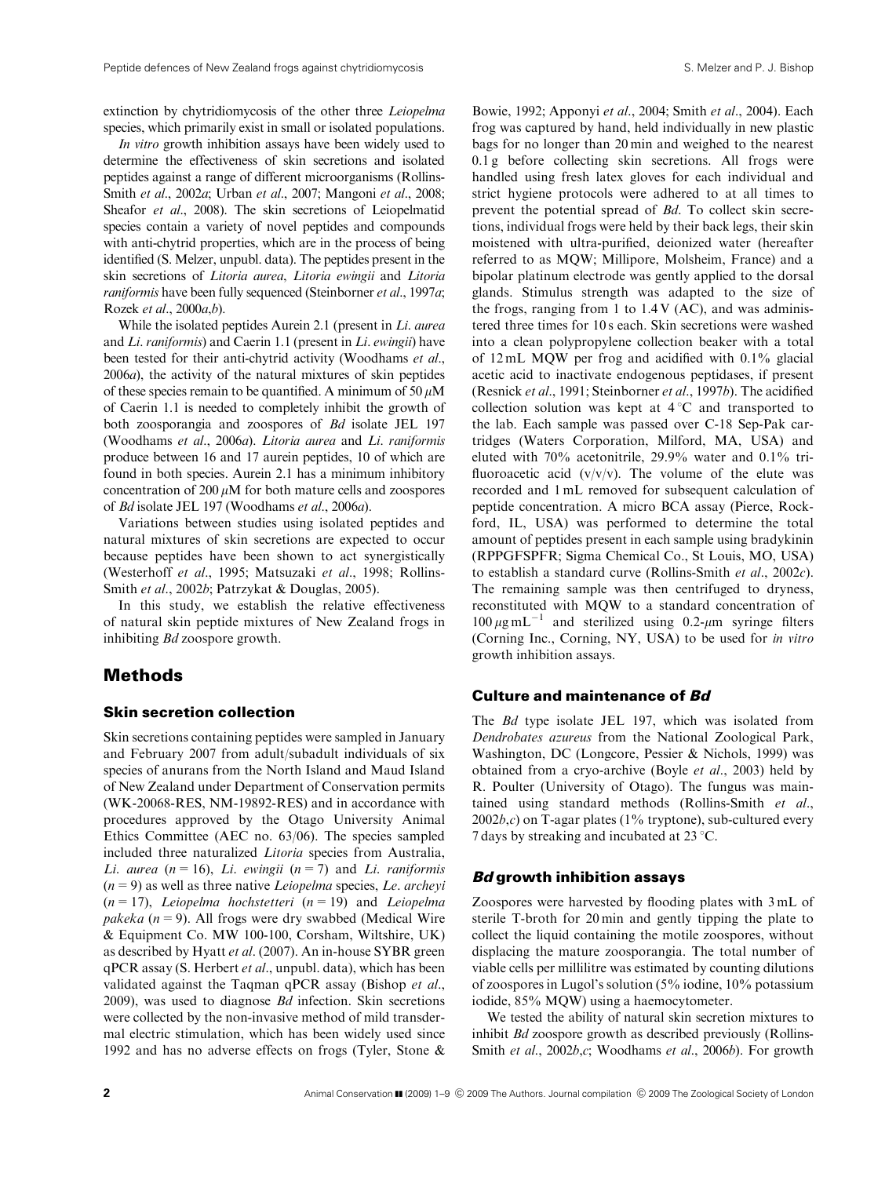extinction by chytridiomycosis of the other three Leiopelma species, which primarily exist in small or isolated populations.

In vitro growth inhibition assays have been widely used to determine the effectiveness of skin secretions and isolated peptides against a range of different microorganisms (Rollins-Smith et al., 2002a; Urban et al., 2007; Mangoni et al., 2008; Sheafor et al., 2008). The skin secretions of Leiopelmatid species contain a variety of novel peptides and compounds with anti-chytrid properties, which are in the process of being identified (S. Melzer, unpubl. data). The peptides present in the skin secretions of Litoria aurea, Litoria ewingii and Litoria raniformis have been fully sequenced (Steinborner et al., 1997a; Rozek et al., 2000a,b).

While the isolated peptides Aurein 2.1 (present in Li. aurea and Li. raniformis) and Caerin 1.1 (present in Li. ewingii) have been tested for their anti-chytrid activity (Woodhams et al., 2006a), the activity of the natural mixtures of skin peptides of these species remain to be quantified. A minimum of 50  $\mu$ M of Caerin 1.1 is needed to completely inhibit the growth of both zoosporangia and zoospores of Bd isolate JEL 197 (Woodhams et al., 2006a). Litoria aurea and Li. raniformis produce between 16 and 17 aurein peptides, 10 of which are found in both species. Aurein 2.1 has a minimum inhibitory concentration of  $200 \mu M$  for both mature cells and zoospores of Bd isolate JEL 197 (Woodhams et al., 2006a).

Variations between studies using isolated peptides and natural mixtures of skin secretions are expected to occur because peptides have been shown to act synergistically (Westerhoff et al., 1995; Matsuzaki et al., 1998; Rollins-Smith et al., 2002b; Patrzykat & Douglas, 2005).

In this study, we establish the relative effectiveness of natural skin peptide mixtures of New Zealand frogs in inhibiting Bd zoospore growth.

# Methods

#### Skin secretion collection

Skin secretions containing peptides were sampled in January and February 2007 from adult/subadult individuals of six species of anurans from the North Island and Maud Island of New Zealand under Department of Conservation permits (WK-20068-RES, NM-19892-RES) and in accordance with procedures approved by the Otago University Animal Ethics Committee (AEC no. 63/06). The species sampled included three naturalized Litoria species from Australia, Li. aurea ( $n = 16$ ), Li. ewingii ( $n = 7$ ) and Li. raniformis  $(n = 9)$  as well as three native Leiopelma species, Le. archevi  $(n = 17)$ , Leiopelma hochstetteri  $(n = 19)$  and Leiopelma *pakeka* ( $n = 9$ ). All frogs were dry swabbed (Medical Wire & Equipment Co. MW 100-100, Corsham, Wiltshire, UK) as described by Hyatt et al. (2007). An in-house SYBR green qPCR assay (S. Herbert et al., unpubl. data), which has been validated against the Taqman qPCR assay (Bishop et al., 2009), was used to diagnose Bd infection. Skin secretions were collected by the non-invasive method of mild transdermal electric stimulation, which has been widely used since 1992 and has no adverse effects on frogs (Tyler, Stone &

Bowie, 1992; Apponyi et al., 2004; Smith et al., 2004). Each frog was captured by hand, held individually in new plastic bags for no longer than 20 min and weighed to the nearest 0.1 g before collecting skin secretions. All frogs were handled using fresh latex gloves for each individual and strict hygiene protocols were adhered to at all times to prevent the potential spread of Bd. To collect skin secretions, individual frogs were held by their back legs, their skin moistened with ultra-purified, deionized water (hereafter referred to as MQW; Millipore, Molsheim, France) and a bipolar platinum electrode was gently applied to the dorsal glands. Stimulus strength was adapted to the size of the frogs, ranging from 1 to 1.4 V (AC), and was administered three times for 10 s each. Skin secretions were washed into a clean polypropylene collection beaker with a total of 12 mL MQW per frog and acidified with 0.1% glacial acetic acid to inactivate endogenous peptidases, if present (Resnick et al., 1991; Steinborner et al., 1997b). The acidified collection solution was kept at  $4^{\circ}$ C and transported to the lab. Each sample was passed over C-18 Sep-Pak cartridges (Waters Corporation, Milford, MA, USA) and eluted with 70% acetonitrile, 29.9% water and 0.1% trifluoroacetic acid  $(v/v/v)$ . The volume of the elute was recorded and 1 mL removed for subsequent calculation of peptide concentration. A micro BCA assay (Pierce, Rockford, IL, USA) was performed to determine the total amount of peptides present in each sample using bradykinin (RPPGFSPFR; Sigma Chemical Co., St Louis, MO, USA) to establish a standard curve (Rollins-Smith et al., 2002c). The remaining sample was then centrifuged to dryness, reconstituted with MQW to a standard concentration of  $100 \mu g \text{ mL}^{-1}$  and sterilized using 0.2- $\mu$ m syringe filters (Corning Inc., Corning, NY, USA) to be used for in vitro growth inhibition assays.

#### Culture and maintenance of Bd

The Bd type isolate JEL 197, which was isolated from Dendrobates azureus from the National Zoological Park, Washington, DC (Longcore, Pessier & Nichols, 1999) was obtained from a cryo-archive (Boyle et al., 2003) held by R. Poulter (University of Otago). The fungus was maintained using standard methods (Rollins-Smith et al.,  $2002b$ ,c) on T-agar plates (1% tryptone), sub-cultured every 7 days by streaking and incubated at 23 °C.

#### Bd growth inhibition assays

Zoospores were harvested by flooding plates with 3 mL of sterile T-broth for 20 min and gently tipping the plate to collect the liquid containing the motile zoospores, without displacing the mature zoosporangia. The total number of viable cells per millilitre was estimated by counting dilutions of zoospores in Lugol's solution (5% iodine, 10% potassium iodide, 85% MQW) using a haemocytometer.

We tested the ability of natural skin secretion mixtures to inhibit Bd zoospore growth as described previously (Rollins-Smith et al., 2002b,c; Woodhams et al., 2006b). For growth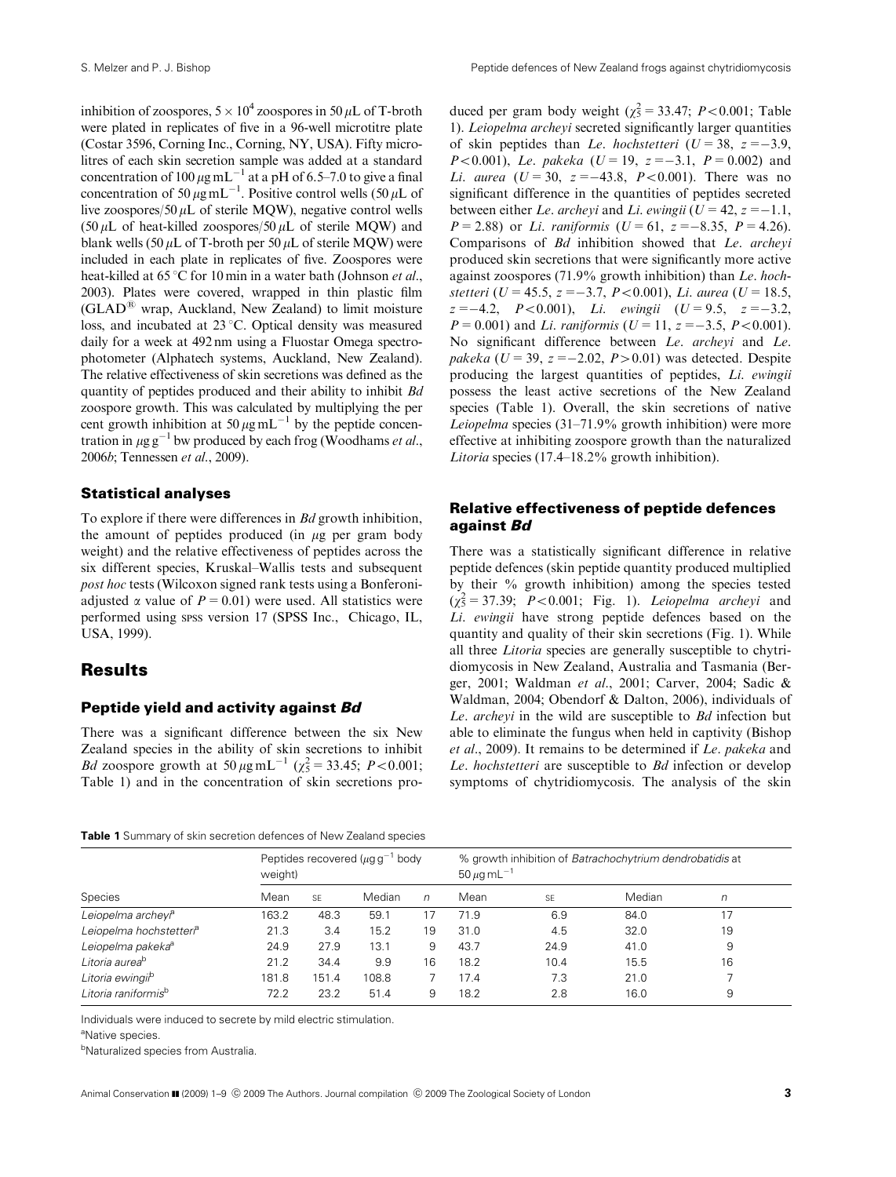inhibition of zoospores,  $5 \times 10^4$  zoospores in 50  $\mu$ L of T-broth were plated in replicates of five in a 96-well microtitre plate (Costar 3596, Corning Inc., Corning, NY, USA). Fifty microlitres of each skin secretion sample was added at a standard concentration of 100  $\mu$ g mL<sup>-1</sup> at a pH of 6.5–7.0 to give a final concentration of  $50 \,\mu\text{g}\,\text{mL}^{-1}$ . Positive control wells  $(50 \,\mu\text{L})$  of live zoospores/50  $\mu$ L of sterile MQW), negative control wells (50  $\mu$ L of heat-killed zoospores/50  $\mu$ L of sterile MQW) and blank wells (50  $\mu$ L of T-broth per 50  $\mu$ L of sterile MOW) were included in each plate in replicates of five. Zoospores were heat-killed at  $65^{\circ}$ C for 10 min in a water bath (Johnson *et al.*, 2003). Plates were covered, wrapped in thin plastic film  $(GLAD^®$  wrap, Auckland, New Zealand) to limit moisture loss, and incubated at  $23^{\circ}$ C. Optical density was measured daily for a week at 492 nm using a Fluostar Omega spectrophotometer (Alphatech systems, Auckland, New Zealand). The relative effectiveness of skin secretions was defined as the quantity of peptides produced and their ability to inhibit Bd zoospore growth. This was calculated by multiplying the per cent growth inhibition at 50  $\mu$ g mL<sup>-1</sup> by the peptide concentration in  $\mu$ g g<sup>-1</sup> bw produced by each frog (Woodhams *et al.*, 2006b; Tennessen et al., 2009).

#### Statistical analyses

To explore if there were differences in Bd growth inhibition, the amount of peptides produced (in  $\mu$ g per gram body weight) and the relative effectiveness of peptides across the six different species, Kruskal–Wallis tests and subsequent post hoc tests (Wilcoxon signed rank tests using a Bonferoniadjusted  $\alpha$  value of  $P = 0.01$ ) were used. All statistics were performed using SPSS version 17 (SPSS Inc., Chicago, IL, USA, 1999).

# Results

#### Peptide yield and activity against Bd

There was a significant difference between the six New Zealand species in the ability of skin secretions to inhibit *Bd* zoospore growth at 50  $\mu$ g mL<sup>-1</sup> ( $\chi^2$  = 33.45; *P*<0.001; Table 1) and in the concentration of skin secretions pro-

duced per gram body weight ( $\chi^2$  = 33.47; P < 0.001; Table 1). Leiopelma archeyi secreted significantly larger quantities of skin peptides than Le. hochstetteri ( $U=38$ ,  $z=-3.9$ ,  $P<0.001$ ), Le. pakeka (U = 19,  $z=-3.1$ ,  $P=0.002$ ) and Li. aurea ( $U = 30$ ,  $z = -43.8$ ,  $P < 0.001$ ). There was no significant difference in the quantities of peptides secreted between either Le. archeyi and Li. ewingii ( $U=42$ ,  $z=-1.1$ ,  $P = 2.88$ ) or *Li. raniformis* ( $U = 61$ ,  $z = -8.35$ ,  $P = 4.26$ ). Comparisons of Bd inhibition showed that Le. archeyi produced skin secretions that were significantly more active against zoospores (71.9% growth inhibition) than Le. hochstetteri (U = 45.5,  $z = -3.7$ ,  $P < 0.001$ ), Li. aurea (U = 18.5,  $z = -4.2$ ,  $P < 0.001$ ), Li. ewingii (U = 9.5,  $z = -3.2$ ,  $P = 0.001$ ) and Li. raniformis (U = 11, z = -3.5, P < 0.001). No significant difference between Le. archeyi and Le. pakeka ( $U= 39$ ,  $z=-2.02$ ,  $P>0.01$ ) was detected. Despite producing the largest quantities of peptides, Li. ewingii possess the least active secretions of the New Zealand species (Table 1). Overall, the skin secretions of native Leiopelma species (31–71.9% growth inhibition) were more effective at inhibiting zoospore growth than the naturalized Litoria species (17.4–18.2% growth inhibition).

# Relative effectiveness of peptide defences against Bd

There was a statistically significant difference in relative peptide defences (skin peptide quantity produced multiplied by their % growth inhibition) among the species tested  $(\chi^2_5 = 37.39; P < 0.001;$  Fig. 1). *Leiopelma archeyi* and Li. ewingii have strong peptide defences based on the quantity and quality of their skin secretions (Fig. 1). While all three Litoria species are generally susceptible to chytridiomycosis in New Zealand, Australia and Tasmania (Berger, 2001; Waldman et al., 2001; Carver, 2004; Sadic & Waldman, 2004; Obendorf & Dalton, 2006), individuals of Le. archeyi in the wild are susceptible to Bd infection but able to eliminate the fungus when held in captivity (Bishop et al., 2009). It remains to be determined if Le. pakeka and Le. hochstetteri are susceptible to Bd infection or develop symptoms of chytridiomycosis. The analysis of the skin

| Table 1 Summary of skin secretion defences of New Zealand species |
|-------------------------------------------------------------------|
|-------------------------------------------------------------------|

|                                    | Peptides recovered $(\mu q q^{-1} b \circ d\vee$<br>weight) |           |        |            | % growth inhibition of Batrachochytrium dendrobatidis at<br>50 $\mu$ g mL <sup>-1</sup> |           |        |    |
|------------------------------------|-------------------------------------------------------------|-----------|--------|------------|-----------------------------------------------------------------------------------------|-----------|--------|----|
| Species                            | Mean                                                        | <b>SE</b> | Median | $\sqrt{n}$ | Mean                                                                                    | <b>SE</b> | Median | n  |
| Leiopelma archey <sup>a</sup>      | 163.2                                                       | 48.3      | 59.1   | 17         | 71.9                                                                                    | 6.9       | 84.0   | 17 |
| Leiopelma hochstetter <sup>a</sup> | 21.3                                                        | 3.4       | 15.2   | 19         | 31.0                                                                                    | 4.5       | 32.0   | 19 |
| Leiopelma pakeka <sup>a</sup>      | 24.9                                                        | 27.9      | 13.1   | 9          | 43.7                                                                                    | 24.9      | 41.0   | 9  |
| Litoria aurea <sup>b</sup>         | 21.2                                                        | 34.4      | 9.9    | 16         | 18.2                                                                                    | 10.4      | 15.5   | 16 |
| Litoria ewingib                    | 181.8                                                       | 151.4     | 108.8  |            | 17.4                                                                                    | 7.3       | 21.0   |    |
| Litoria raniformis <sup>b</sup>    | 72.2                                                        | 23.2      | 51.4   | 9          | 18.2                                                                                    | 2.8       | 16.0   | 9  |

Individuals were induced to secrete by mild electric stimulation.

<sup>a</sup>Native species.

**bNaturalized species from Australia.**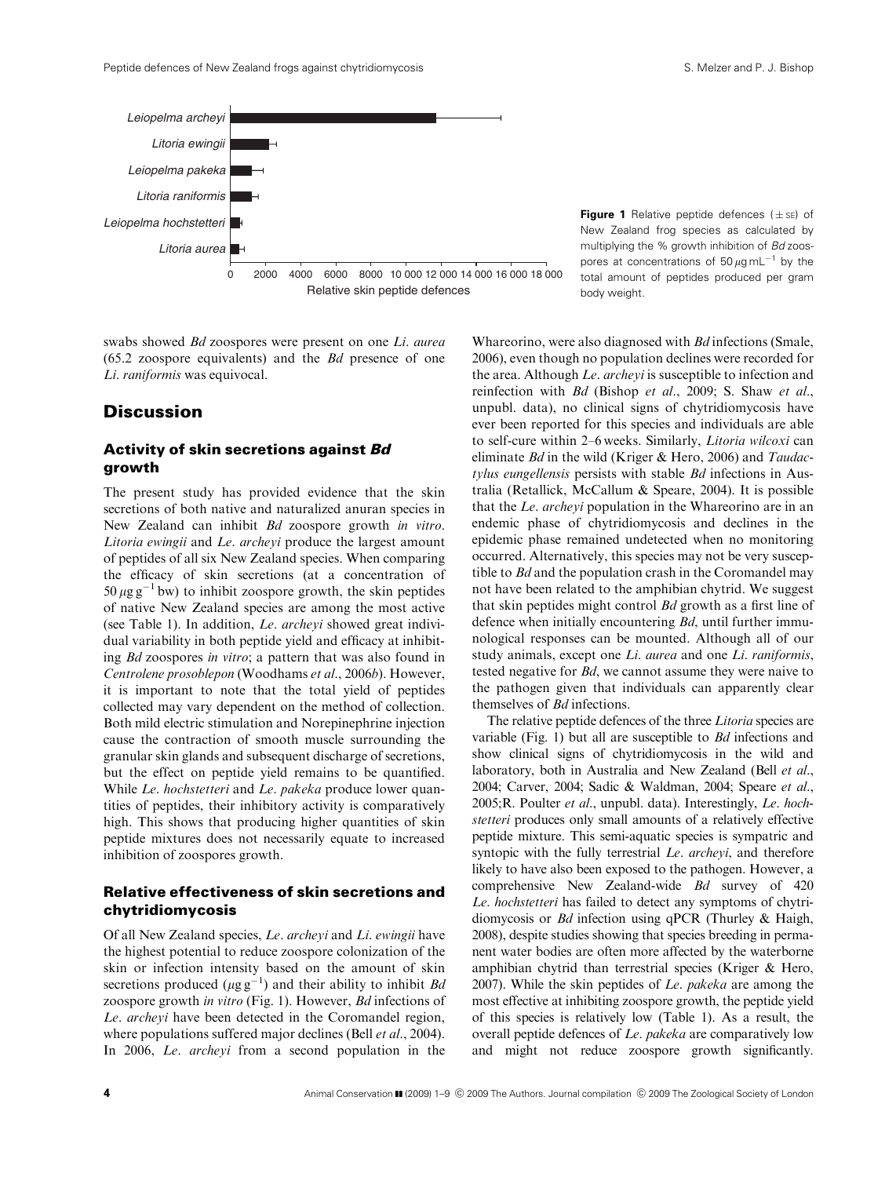

**Figure 1** Relative peptide defences  $(\pm s \epsilon)$  of New Zealand frog species as calculated by multiplying the % growth inhibition of Bd zoospores at concentrations of 50  $\mu$ g mL<sup>-1</sup> by the total amount of peptides produced per gram body weight.

swabs showed Bd zoospores were present on one Li. aurea (65.2 zoospore equivalents) and the Bd presence of one Li. raniformis was equivocal.

# **Discussion**

#### Activity of skin secretions against Bd growth

The present study has provided evidence that the skin secretions of both native and naturalized anuran species in New Zealand can inhibit Bd zoospore growth in vitro. Litoria ewingii and Le. archeyi produce the largest amount of peptides of all six New Zealand species. When comparing the efficacy of skin secretions (at a concentration of  $50 \mu$ g g<sup>-1</sup> bw) to inhibit zoospore growth, the skin peptides of native New Zealand species are among the most active (see Table 1). In addition, Le. archeyi showed great individual variability in both peptide yield and efficacy at inhibiting Bd zoospores in vitro; a pattern that was also found in Centrolene prosoblepon (Woodhams et al., 2006b). However, it is important to note that the total yield of peptides collected may vary dependent on the method of collection. Both mild electric stimulation and Norepinephrine injection cause the contraction of smooth muscle surrounding the granular skin glands and subsequent discharge of secretions, but the effect on peptide yield remains to be quantified. While Le. hochstetteri and Le. pakeka produce lower quantities of peptides, their inhibitory activity is comparatively high. This shows that producing higher quantities of skin peptide mixtures does not necessarily equate to increased inhibition of zoospores growth.

# Relative effectiveness of skin secretions and chytridiomycosis

Of all New Zealand species, Le. archeyi and Li. ewingii have the highest potential to reduce zoospore colonization of the skin or infection intensity based on the amount of skin secretions produced ( $\mu$ gg<sup>-1</sup>) and their ability to inhibit *Bd* zoospore growth in vitro (Fig. 1). However, Bd infections of Le. archeyi have been detected in the Coromandel region, where populations suffered major declines (Bell *et al.*, 2004). In 2006, Le. archeyi from a second population in the Whareorino, were also diagnosed with Bd infections (Smale, 2006), even though no population declines were recorded for the area. Although Le. archeyi is susceptible to infection and reinfection with *Bd* (Bishop et al., 2009; S. Shaw et al., unpubl. data), no clinical signs of chytridiomycosis have ever been reported for this species and individuals are able to self-cure within 2–6 weeks. Similarly, Litoria wilcoxi can eliminate Bd in the wild (Kriger & Hero, 2006) and Taudactylus eungellensis persists with stable Bd infections in Australia (Retallick, McCallum & Speare, 2004). It is possible that the Le. archeyi population in the Whareorino are in an endemic phase of chytridiomycosis and declines in the epidemic phase remained undetected when no monitoring occurred. Alternatively, this species may not be very susceptible to Bd and the population crash in the Coromandel may not have been related to the amphibian chytrid. We suggest that skin peptides might control Bd growth as a first line of defence when initially encountering *Bd*, until further immunological responses can be mounted. Although all of our study animals, except one Li. aurea and one Li. raniformis, tested negative for Bd, we cannot assume they were naive to the pathogen given that individuals can apparently clear themselves of Bd infections.

The relative peptide defences of the three *Litoria* species are variable (Fig. 1) but all are susceptible to Bd infections and show clinical signs of chytridiomycosis in the wild and laboratory, both in Australia and New Zealand (Bell et al., 2004; Carver, 2004; Sadic & Waldman, 2004; Speare et al., 2005;R. Poulter et al., unpubl. data). Interestingly, Le. hochstetteri produces only small amounts of a relatively effective peptide mixture. This semi-aquatic species is sympatric and syntopic with the fully terrestrial Le. archeyi, and therefore likely to have also been exposed to the pathogen. However, a comprehensive New Zealand-wide Bd survey of 420 Le. hochstetteri has failed to detect any symptoms of chytridiomycosis or Bd infection using qPCR (Thurley & Haigh, 2008), despite studies showing that species breeding in permanent water bodies are often more affected by the waterborne amphibian chytrid than terrestrial species (Kriger & Hero, 2007). While the skin peptides of Le. pakeka are among the most effective at inhibiting zoospore growth, the peptide yield of this species is relatively low (Table 1). As a result, the overall peptide defences of Le. pakeka are comparatively low and might not reduce zoospore growth significantly.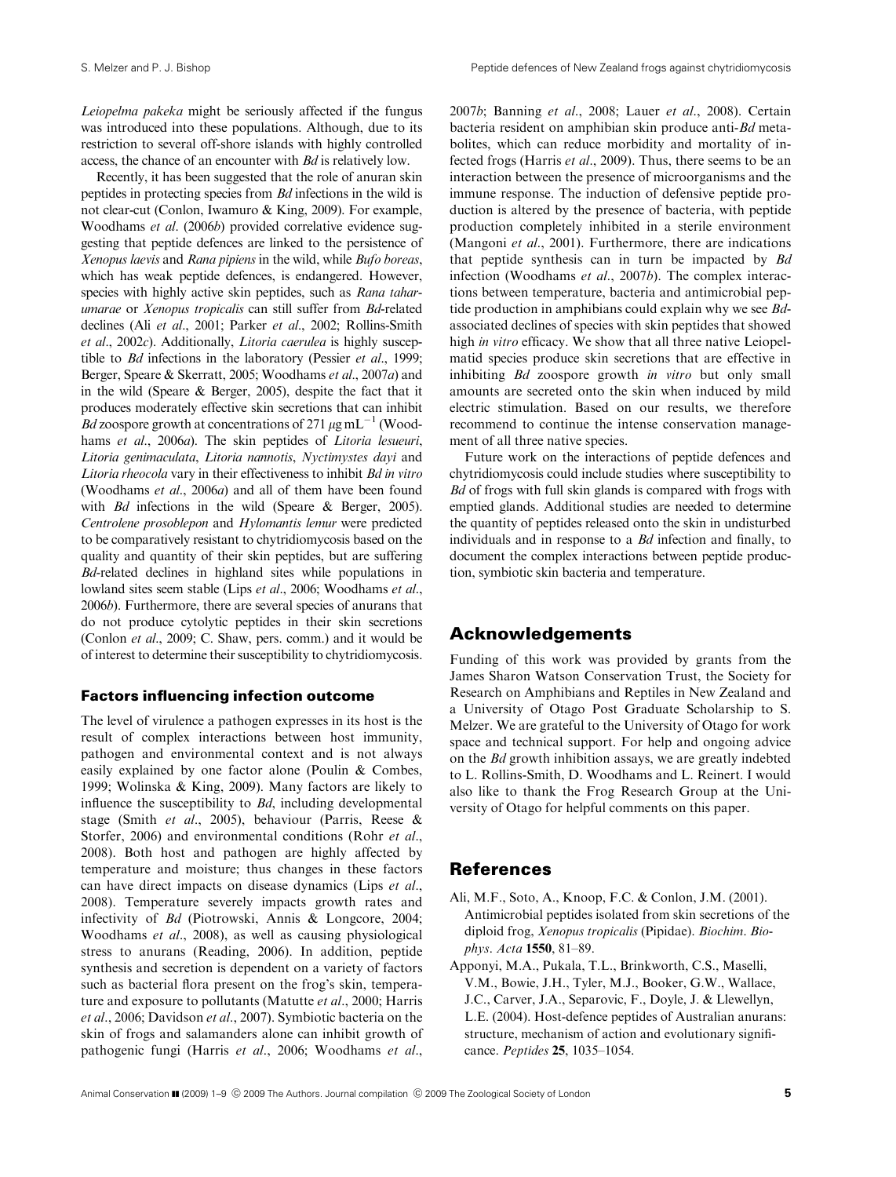Leiopelma pakeka might be seriously affected if the fungus was introduced into these populations. Although, due to its restriction to several off-shore islands with highly controlled access, the chance of an encounter with Bd is relatively low.

Recently, it has been suggested that the role of anuran skin peptides in protecting species from Bd infections in the wild is not clear-cut (Conlon, Iwamuro & King, 2009). For example, Woodhams et al. (2006b) provided correlative evidence suggesting that peptide defences are linked to the persistence of Xenopus laevis and Rana pipiens in the wild, while Bufo boreas, which has weak peptide defences, is endangered. However, species with highly active skin peptides, such as Rana taharumarae or Xenopus tropicalis can still suffer from Bd-related declines (Ali et al., 2001; Parker et al., 2002; Rollins-Smith et al., 2002c). Additionally, Litoria caerulea is highly susceptible to *Bd* infections in the laboratory (Pessier et al., 1999; Berger, Speare & Skerratt, 2005; Woodhams et al., 2007a) and in the wild (Speare & Berger, 2005), despite the fact that it produces moderately effective skin secretions that can inhibit Bd zoospore growth at concentrations of 271  $\mu$ g mL<sup>-1</sup> (Woodhams et al., 2006a). The skin peptides of Litoria lesueuri, Litoria genimaculata, Litoria nannotis, Nyctimystes dayi and Litoria rheocola vary in their effectiveness to inhibit Bd in vitro (Woodhams et al., 2006a) and all of them have been found with *Bd* infections in the wild (Speare & Berger, 2005). Centrolene prosoblepon and Hylomantis lemur were predicted to be comparatively resistant to chytridiomycosis based on the quality and quantity of their skin peptides, but are suffering Bd-related declines in highland sites while populations in lowland sites seem stable (Lips et al., 2006; Woodhams et al., 2006b). Furthermore, there are several species of anurans that do not produce cytolytic peptides in their skin secretions (Conlon et al., 2009; C. Shaw, pers. comm.) and it would be of interest to determine their susceptibility to chytridiomycosis.

#### Factors influencing infection outcome

The level of virulence a pathogen expresses in its host is the result of complex interactions between host immunity, pathogen and environmental context and is not always easily explained by one factor alone (Poulin & Combes, 1999; Wolinska & King, 2009). Many factors are likely to influence the susceptibility to Bd, including developmental stage (Smith et al., 2005), behaviour (Parris, Reese & Storfer, 2006) and environmental conditions (Rohr et al., 2008). Both host and pathogen are highly affected by temperature and moisture; thus changes in these factors can have direct impacts on disease dynamics (Lips et al., 2008). Temperature severely impacts growth rates and infectivity of Bd (Piotrowski, Annis & Longcore, 2004; Woodhams et al., 2008), as well as causing physiological stress to anurans (Reading, 2006). In addition, peptide synthesis and secretion is dependent on a variety of factors such as bacterial flora present on the frog's skin, temperature and exposure to pollutants (Matutte et al., 2000; Harris et al., 2006; Davidson et al., 2007). Symbiotic bacteria on the skin of frogs and salamanders alone can inhibit growth of pathogenic fungi (Harris et al., 2006; Woodhams et al.,

2007b; Banning et al., 2008; Lauer et al., 2008). Certain bacteria resident on amphibian skin produce anti-Bd metabolites, which can reduce morbidity and mortality of infected frogs (Harris et al., 2009). Thus, there seems to be an interaction between the presence of microorganisms and the immune response. The induction of defensive peptide production is altered by the presence of bacteria, with peptide production completely inhibited in a sterile environment (Mangoni *et al.*, 2001). Furthermore, there are indications that peptide synthesis can in turn be impacted by  $Bd$ infection (Woodhams et al., 2007b). The complex interactions between temperature, bacteria and antimicrobial peptide production in amphibians could explain why we see Bdassociated declines of species with skin peptides that showed high *in vitro* efficacy. We show that all three native Leiopelmatid species produce skin secretions that are effective in inhibiting *Bd* zoospore growth in vitro but only small amounts are secreted onto the skin when induced by mild electric stimulation. Based on our results, we therefore recommend to continue the intense conservation management of all three native species.

Future work on the interactions of peptide defences and chytridiomycosis could include studies where susceptibility to Bd of frogs with full skin glands is compared with frogs with emptied glands. Additional studies are needed to determine the quantity of peptides released onto the skin in undisturbed individuals and in response to a Bd infection and finally, to document the complex interactions between peptide production, symbiotic skin bacteria and temperature.

# Acknowledgements

Funding of this work was provided by grants from the James Sharon Watson Conservation Trust, the Society for Research on Amphibians and Reptiles in New Zealand and a University of Otago Post Graduate Scholarship to S. Melzer. We are grateful to the University of Otago for work space and technical support. For help and ongoing advice on the Bd growth inhibition assays, we are greatly indebted to L. Rollins-Smith, D. Woodhams and L. Reinert. I would also like to thank the Frog Research Group at the University of Otago for helpful comments on this paper.

## References

- Ali, M.F., Soto, A., Knoop, F.C. & Conlon, J.M. (2001). Antimicrobial peptides isolated from skin secretions of the diploid frog, Xenopus tropicalis (Pipidae). Biochim. Biophys. Acta 1550, 81–89.
- Apponyi, M.A., Pukala, T.L., Brinkworth, C.S., Maselli, V.M., Bowie, J.H., Tyler, M.J., Booker, G.W., Wallace, J.C., Carver, J.A., Separovic, F., Doyle, J. & Llewellyn, L.E. (2004). Host-defence peptides of Australian anurans: structure, mechanism of action and evolutionary significance. Peptides 25, 1035–1054.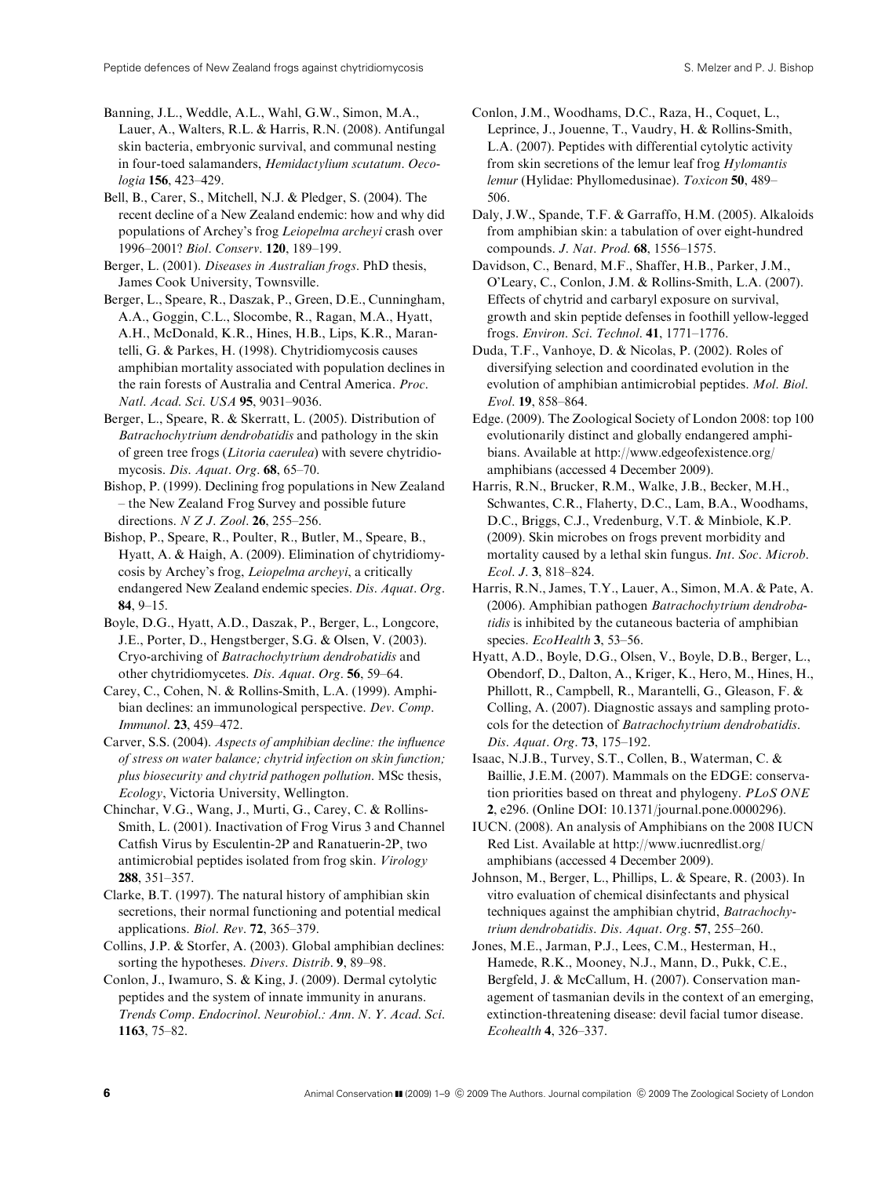Banning, J.L., Weddle, A.L., Wahl, G.W., Simon, M.A., Lauer, A., Walters, R.L. & Harris, R.N. (2008). Antifungal skin bacteria, embryonic survival, and communal nesting in four-toed salamanders, Hemidactylium scutatum. Oecologia 156, 423–429.

Bell, B., Carer, S., Mitchell, N.J. & Pledger, S. (2004). The recent decline of a New Zealand endemic: how and why did populations of Archey's frog Leiopelma archeyi crash over 1996–2001? Biol. Conserv. 120, 189–199.

Berger, L. (2001). Diseases in Australian frogs. PhD thesis, James Cook University, Townsville.

Berger, L., Speare, R., Daszak, P., Green, D.E., Cunningham, A.A., Goggin, C.L., Slocombe, R., Ragan, M.A., Hyatt, A.H., McDonald, K.R., Hines, H.B., Lips, K.R., Marantelli, G. & Parkes, H. (1998). Chytridiomycosis causes amphibian mortality associated with population declines in the rain forests of Australia and Central America. Proc. Natl. Acad. Sci. USA 95, 9031–9036.

Berger, L., Speare, R. & Skerratt, L. (2005). Distribution of Batrachochytrium dendrobatidis and pathology in the skin of green tree frogs (Litoria caerulea) with severe chytridiomycosis. Dis. Aquat. Org. 68, 65–70.

Bishop, P. (1999). Declining frog populations in New Zealand – the New Zealand Frog Survey and possible future directions. N Z J. Zool. 26, 255-256.

Bishop, P., Speare, R., Poulter, R., Butler, M., Speare, B., Hyatt, A. & Haigh, A. (2009). Elimination of chytridiomycosis by Archey's frog, Leiopelma archeyi, a critically endangered New Zealand endemic species. Dis. Aquat. Org. 84, 9–15.

Boyle, D.G., Hyatt, A.D., Daszak, P., Berger, L., Longcore, J.E., Porter, D., Hengstberger, S.G. & Olsen, V. (2003). Cryo-archiving of Batrachochytrium dendrobatidis and other chytridiomycetes. Dis. Aquat. Org. 56, 59–64.

Carey, C., Cohen, N. & Rollins-Smith, L.A. (1999). Amphibian declines: an immunological perspective. Dev. Comp. Immunol. 23, 459–472.

Carver, S.S. (2004). Aspects of amphibian decline: the influence of stress on water balance; chytrid infection on skin function; plus biosecurity and chytrid pathogen pollution. MSc thesis, Ecology, Victoria University, Wellington.

Chinchar, V.G., Wang, J., Murti, G., Carey, C. & Rollins-Smith, L. (2001). Inactivation of Frog Virus 3 and Channel Catfish Virus by Esculentin-2P and Ranatuerin-2P, two antimicrobial peptides isolated from frog skin. Virology 288, 351–357.

Clarke, B.T. (1997). The natural history of amphibian skin secretions, their normal functioning and potential medical applications. Biol. Rev. 72, 365–379.

Collins, J.P. & Storfer, A. (2003). Global amphibian declines: sorting the hypotheses. Divers. Distrib. 9, 89–98.

Conlon, J., Iwamuro, S. & King, J. (2009). Dermal cytolytic peptides and the system of innate immunity in anurans. Trends Comp. Endocrinol. Neurobiol.: Ann. N. Y. Acad. Sci. 1163, 75–82.

Conlon, J.M., Woodhams, D.C., Raza, H., Coquet, L., Leprince, J., Jouenne, T., Vaudry, H. & Rollins-Smith, L.A. (2007). Peptides with differential cytolytic activity from skin secretions of the lemur leaf frog Hylomantis lemur (Hylidae: Phyllomedusinae). Toxicon 50, 489– 506.

Daly, J.W., Spande, T.F. & Garraffo, H.M. (2005). Alkaloids from amphibian skin: a tabulation of over eight-hundred compounds. J. Nat. Prod. 68, 1556–1575.

Davidson, C., Benard, M.F., Shaffer, H.B., Parker, J.M., O'Leary, C., Conlon, J.M. & Rollins-Smith, L.A. (2007). Effects of chytrid and carbaryl exposure on survival, growth and skin peptide defenses in foothill yellow-legged frogs. Environ. Sci. Technol. 41, 1771–1776.

Duda, T.F., Vanhoye, D. & Nicolas, P. (2002). Roles of diversifying selection and coordinated evolution in the evolution of amphibian antimicrobial peptides. Mol. Biol. Evol. 19, 858–864.

Edge. (2009). The Zoological Society of London 2008: top 100 evolutionarily distinct and globally endangered amphibians. Available at [http://www.edgeofexistence.org/](http://www.edgeofexistence.org/amphibians) [amphibians \(accessed 4 December 2009\).](http://www.edgeofexistence.org/amphibians)

Harris, R.N., Brucker, R.M., Walke, J.B., Becker, M.H., Schwantes, C.R., Flaherty, D.C., Lam, B.A., Woodhams, D.C., Briggs, C.J., Vredenburg, V.T. & Minbiole, K.P. (2009). Skin microbes on frogs prevent morbidity and mortality caused by a lethal skin fungus. Int. Soc. Microb. Ecol. J. 3, 818–824.

Harris, R.N., James, T.Y., Lauer, A., Simon, M.A. & Pate, A. (2006). Amphibian pathogen Batrachochytrium dendrobatidis is inhibited by the cutaneous bacteria of amphibian species. EcoHealth 3, 53-56.

Hyatt, A.D., Boyle, D.G., Olsen, V., Boyle, D.B., Berger, L., Obendorf, D., Dalton, A., Kriger, K., Hero, M., Hines, H., Phillott, R., Campbell, R., Marantelli, G., Gleason, F. & Colling, A. (2007). Diagnostic assays and sampling protocols for the detection of Batrachochytrium dendrobatidis. Dis. Aquat. Org. 73, 175–192.

Isaac, N.J.B., Turvey, S.T., Collen, B., Waterman, C. & Baillie, J.E.M. (2007). Mammals on the EDGE: conservation priorities based on threat and phylogeny. PLoS ONE 2, e296. (Online DOI: [10.1371/journal.pone.0000296\).](10.1371/journal.pone.0000296)

IUCN. (2008). An analysis of Amphibians on the 2008 IUCN Red List. Available at [http://www.iucnredlist.org/](http://www.iucnredlist.org/amphibians) [amphibians \(accessed 4 December 2009\).](http://www.iucnredlist.org/amphibians)

Johnson, M., Berger, L., Phillips, L. & Speare, R. (2003). In vitro evaluation of chemical disinfectants and physical techniques against the amphibian chytrid, Batrachochytrium dendrobatidis. Dis. Aquat. Org. 57, 255–260.

Jones, M.E., Jarman, P.J., Lees, C.M., Hesterman, H., Hamede, R.K., Mooney, N.J., Mann, D., Pukk, C.E., Bergfeld, J. & McCallum, H. (2007). Conservation management of tasmanian devils in the context of an emerging, extinction-threatening disease: devil facial tumor disease. Ecohealth 4, 326–337.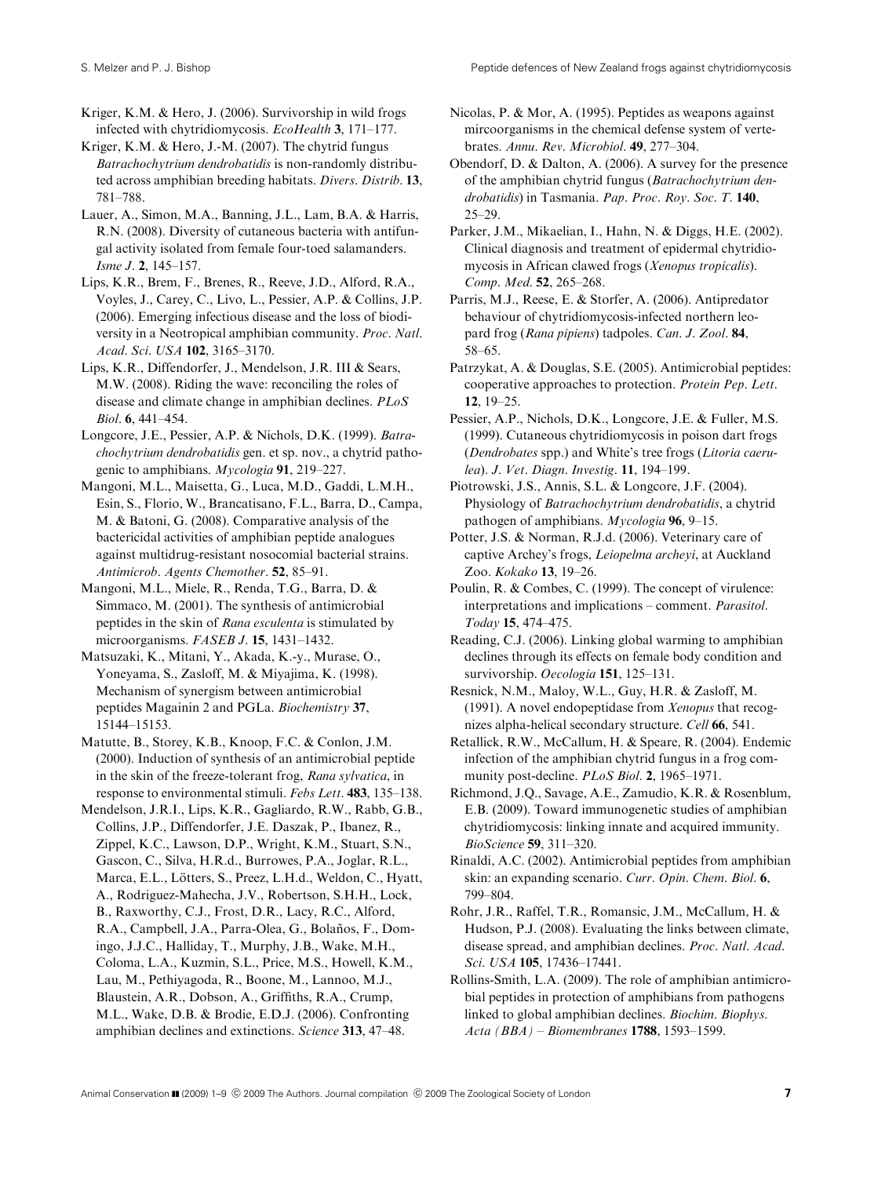Kriger, K.M. & Hero, J. (2006). Survivorship in wild frogs infected with chytridiomycosis. EcoHealth 3, 171-177.

Kriger, K.M. & Hero, J.-M. (2007). The chytrid fungus Batrachochytrium dendrobatidis is non-randomly distributed across amphibian breeding habitats. Divers. Distrib. 13, 781–788.

Lauer, A., Simon, M.A., Banning, J.L., Lam, B.A. & Harris, R.N. (2008). Diversity of cutaneous bacteria with antifungal activity isolated from female four-toed salamanders. Isme J. 2, 145–157.

Lips, K.R., Brem, F., Brenes, R., Reeve, J.D., Alford, R.A., Voyles, J., Carey, C., Livo, L., Pessier, A.P. & Collins, J.P. (2006). Emerging infectious disease and the loss of biodiversity in a Neotropical amphibian community. Proc. Natl. Acad. Sci. USA 102, 3165–3170.

Lips, K.R., Diffendorfer, J., Mendelson, J.R. III & Sears, M.W. (2008). Riding the wave: reconciling the roles of disease and climate change in amphibian declines. PLoS Biol. 6, 441–454.

Longcore, J.E., Pessier, A.P. & Nichols, D.K. (1999). Batrachochytrium dendrobatidis gen. et sp. nov., a chytrid pathogenic to amphibians. Mycologia 91, 219–227.

Mangoni, M.L., Maisetta, G., Luca, M.D., Gaddi, L.M.H., Esin, S., Florio, W., Brancatisano, F.L., Barra, D., Campa, M. & Batoni, G. (2008). Comparative analysis of the bactericidal activities of amphibian peptide analogues against multidrug-resistant nosocomial bacterial strains. Antimicrob. Agents Chemother. 52, 85–91.

Mangoni, M.L., Miele, R., Renda, T.G., Barra, D. & Simmaco, M. (2001). The synthesis of antimicrobial peptides in the skin of Rana esculenta is stimulated by microorganisms. FASEB J. 15, 1431–1432.

Matsuzaki, K., Mitani, Y., Akada, K.-y., Murase, O., Yoneyama, S., Zasloff, M. & Miyajima, K. (1998). Mechanism of synergism between antimicrobial peptides Magainin 2 and PGLa. Biochemistry 37, 15144–15153.

Matutte, B., Storey, K.B., Knoop, F.C. & Conlon, J.M. (2000). Induction of synthesis of an antimicrobial peptide in the skin of the freeze-tolerant frog, Rana sylvatica, in response to environmental stimuli. Febs Lett. 483, 135–138.

Mendelson, J.R.I., Lips, K.R., Gagliardo, R.W., Rabb, G.B., Collins, J.P., Diffendorfer, J.E. Daszak, P., Ibanez, R., Zippel, K.C., Lawson, D.P., Wright, K.M., Stuart, S.N., Gascon, C., Silva, H.R.d., Burrowes, P.A., Joglar, R.L., Marca, E.L., Lötters, S., Preez, L.H.d., Weldon, C., Hyatt, A., Rodriguez-Mahecha, J.V., Robertson, S.H.H., Lock, B., Raxworthy, C.J., Frost, D.R., Lacy, R.C., Alford, R.A., Campbell, J.A., Parra-Olea, G., Bolaños, F., Domingo, J.J.C., Halliday, T., Murphy, J.B., Wake, M.H., Coloma, L.A., Kuzmin, S.L., Price, M.S., Howell, K.M., Lau, M., Pethiyagoda, R., Boone, M., Lannoo, M.J., Blaustein, A.R., Dobson, A., Griffiths, R.A., Crump, M.L., Wake, D.B. & Brodie, E.D.J. (2006). Confronting amphibian declines and extinctions. Science 313, 47–48.

Nicolas, P. & Mor, A. (1995). Peptides as weapons against mircoorganisms in the chemical defense system of vertebrates. Annu. Rev. Microbiol. 49, 277–304.

Obendorf, D. & Dalton, A. (2006). A survey for the presence of the amphibian chytrid fungus (Batrachochytrium dendrobatidis) in Tasmania. Pap. Proc. Roy. Soc. T. 140, 25–29.

Parker, J.M., Mikaelian, I., Hahn, N. & Diggs, H.E. (2002). Clinical diagnosis and treatment of epidermal chytridiomycosis in African clawed frogs (Xenopus tropicalis). Comp. Med. 52, 265–268.

Parris, M.J., Reese, E. & Storfer, A. (2006). Antipredator behaviour of chytridiomycosis-infected northern leopard frog (Rana pipiens) tadpoles. Can. J. Zool. 84, 58–65.

Patrzykat, A. & Douglas, S.E. (2005). Antimicrobial peptides: cooperative approaches to protection. Protein Pep. Lett. 12, 19–25.

Pessier, A.P., Nichols, D.K., Longcore, J.E. & Fuller, M.S. (1999). Cutaneous chytridiomycosis in poison dart frogs (Dendrobates spp.) and White's tree frogs (Litoria caerulea). J. Vet. Diagn. Investig. 11, 194–199.

Piotrowski, J.S., Annis, S.L. & Longcore, J.F. (2004). Physiology of Batrachochytrium dendrobatidis, a chytrid pathogen of amphibians. Mycologia 96, 9–15.

Potter, J.S. & Norman, R.J.d. (2006). Veterinary care of captive Archey's frogs, Leiopelma archeyi, at Auckland Zoo. Kokako 13, 19–26.

Poulin, R. & Combes, C. (1999). The concept of virulence: interpretations and implications – comment. Parasitol. Today 15, 474–475.

Reading, C.J. (2006). Linking global warming to amphibian declines through its effects on female body condition and survivorship. Oecologia 151, 125-131.

Resnick, N.M., Maloy, W.L., Guy, H.R. & Zasloff, M. (1991). A novel endopeptidase from Xenopus that recognizes alpha-helical secondary structure. Cell 66, 541.

Retallick, R.W., McCallum, H. & Speare, R. (2004). Endemic infection of the amphibian chytrid fungus in a frog community post-decline. PLoS Biol. 2, 1965–1971.

Richmond, J.Q., Savage, A.E., Zamudio, K.R. & Rosenblum, E.B. (2009). Toward immunogenetic studies of amphibian chytridiomycosis: linking innate and acquired immunity. BioScience 59, 311–320.

Rinaldi, A.C. (2002). Antimicrobial peptides from amphibian skin: an expanding scenario. Curr. Opin. Chem. Biol. 6, 799–804.

Rohr, J.R., Raffel, T.R., Romansic, J.M., McCallum, H. & Hudson, P.J. (2008). Evaluating the links between climate, disease spread, and amphibian declines. Proc. Natl. Acad. Sci. USA 105, 17436–17441.

Rollins-Smith, L.A. (2009). The role of amphibian antimicrobial peptides in protection of amphibians from pathogens linked to global amphibian declines. Biochim. Biophys. Acta (BBA) – Biomembranes 1788, 1593–1599.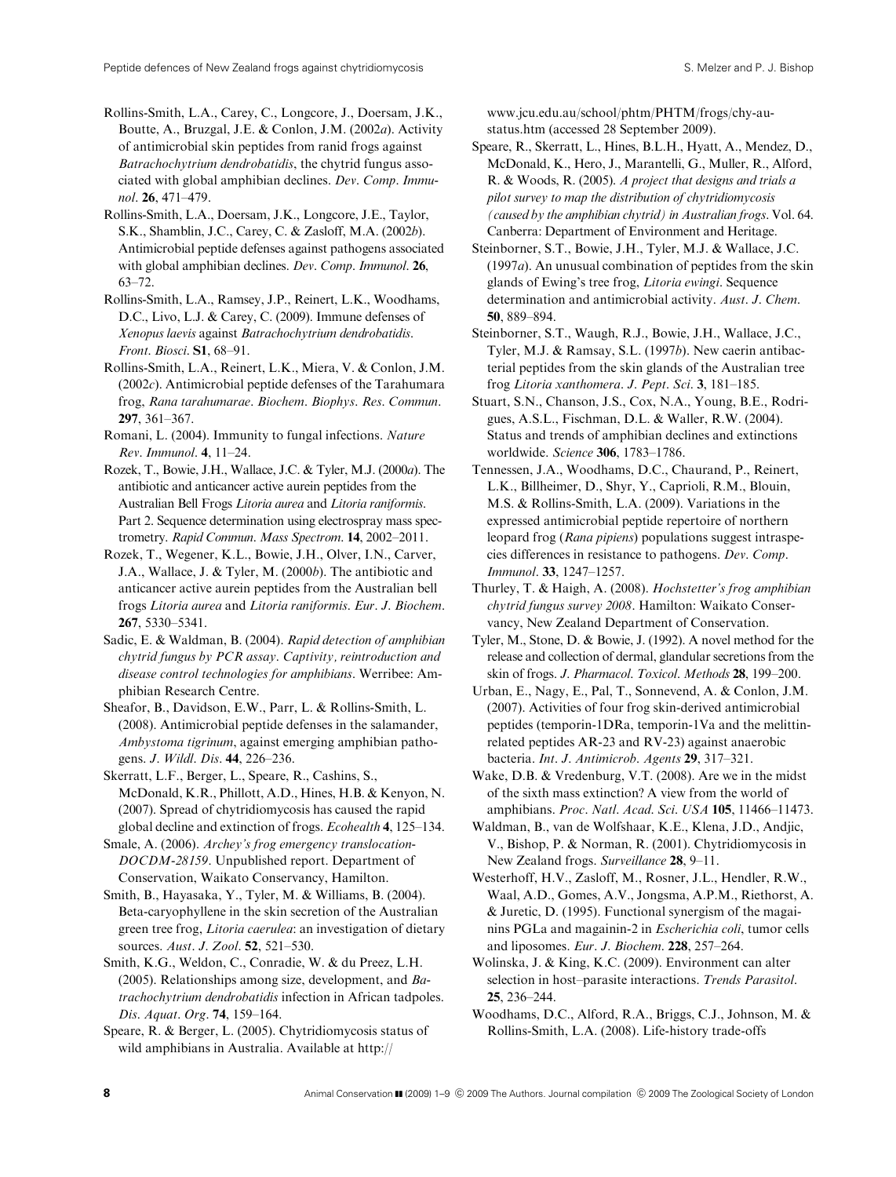Rollins-Smith, L.A., Carey, C., Longcore, J., Doersam, J.K., Boutte, A., Bruzgal, J.E. & Conlon, J.M. (2002a). Activity of antimicrobial skin peptides from ranid frogs against Batrachochytrium dendrobatidis, the chytrid fungus associated with global amphibian declines. Dev. Comp. Immunol. 26, 471–479.

Rollins-Smith, L.A., Doersam, J.K., Longcore, J.E., Taylor, S.K., Shamblin, J.C., Carey, C. & Zasloff, M.A. (2002b). Antimicrobial peptide defenses against pathogens associated with global amphibian declines. Dev. Comp. Immunol. 26, 63–72.

Rollins-Smith, L.A., Ramsey, J.P., Reinert, L.K., Woodhams, D.C., Livo, L.J. & Carey, C. (2009). Immune defenses of Xenopus laevis against Batrachochytrium dendrobatidis. Front. Biosci. S1, 68–91.

Rollins-Smith, L.A., Reinert, L.K., Miera, V. & Conlon, J.M. (2002c). Antimicrobial peptide defenses of the Tarahumara frog, Rana tarahumarae. Biochem. Biophys. Res. Commun. 297, 361–367.

Romani, L. (2004). Immunity to fungal infections. Nature Rev. Immunol. 4, 11–24.

Rozek, T., Bowie, J.H., Wallace, J.C. & Tyler, M.J. (2000a). The antibiotic and anticancer active aurein peptides from the Australian Bell Frogs Litoria aurea and Litoria raniformis. Part 2. Sequence determination using electrospray mass spectrometry. Rapid Commun. Mass Spectrom. 14, 2002–2011.

Rozek, T., Wegener, K.L., Bowie, J.H., Olver, I.N., Carver, J.A., Wallace, J. & Tyler, M. (2000b). The antibiotic and anticancer active aurein peptides from the Australian bell frogs Litoria aurea and Litoria raniformis. Eur. J. Biochem. 267, 5330–5341.

Sadic, E. & Waldman, B. (2004). Rapid detection of amphibian chytrid fungus by PCR assay. Captivity, reintroduction and disease control technologies for amphibians. Werribee: Amphibian Research Centre.

Sheafor, B., Davidson, E.W., Parr, L. & Rollins-Smith, L. (2008). Antimicrobial peptide defenses in the salamander, Ambystoma tigrinum, against emerging amphibian pathogens. J. Wildl. Dis. 44, 226–236.

Skerratt, L.F., Berger, L., Speare, R., Cashins, S., McDonald, K.R., Phillott, A.D., Hines, H.B. & Kenyon, N. (2007). Spread of chytridiomycosis has caused the rapid global decline and extinction of frogs. Ecohealth 4, 125–134.

Smale, A. (2006). Archey's frog emergency translocation-DOCDM-28159. Unpublished report. Department of Conservation, Waikato Conservancy, Hamilton.

Smith, B., Hayasaka, Y., Tyler, M. & Williams, B. (2004). Beta-caryophyllene in the skin secretion of the Australian green tree frog, Litoria caerulea: an investigation of dietary sources. Aust. J. Zool. 52, 521–530.

Smith, K.G., Weldon, C., Conradie, W. & du Preez, L.H. (2005). Relationships among size, development, and Batrachochytrium dendrobatidis infection in African tadpoles. Dis. Aquat. Org. 74, 159–164.

Speare, R. & Berger, L. (2005). Chytridiomycosis status of wild amphibians in Australia. Available at http://

www.jcu.edu.au/school/phtm/PHTM/frogs/chy-au[status.htm \(accessed 28 September 2009\).]().)

Speare, R., Skerratt, L., Hines, B.L.H., Hyatt, A., Mendez, D., McDonald, K., Hero, J., Marantelli, G., Muller, R., Alford, R. & Woods, R. (2005). A project that designs and trials a pilot survey to map the distribution of chytridiomycosis (caused by the amphibian chytrid) in Australian frogs. Vol. 64. Canberra: Department of Environment and Heritage.

Steinborner, S.T., Bowie, J.H., Tyler, M.J. & Wallace, J.C.  $(1997a)$ . An unusual combination of peptides from the skin glands of Ewing's tree frog, Litoria ewingi. Sequence determination and antimicrobial activity. Aust. J. Chem. 50, 889–894.

Steinborner, S.T., Waugh, R.J., Bowie, J.H., Wallace, J.C., Tyler, M.J. & Ramsay, S.L. (1997b). New caerin antibacterial peptides from the skin glands of the Australian tree frog Litoria xanthomera. J. Pept. Sci. 3, 181–185.

Stuart, S.N., Chanson, J.S., Cox, N.A., Young, B.E., Rodrigues, A.S.L., Fischman, D.L. & Waller, R.W. (2004). Status and trends of amphibian declines and extinctions worldwide. Science 306, 1783–1786.

Tennessen, J.A., Woodhams, D.C., Chaurand, P., Reinert, L.K., Billheimer, D., Shyr, Y., Caprioli, R.M., Blouin, M.S. & Rollins-Smith, L.A. (2009). Variations in the expressed antimicrobial peptide repertoire of northern leopard frog (Rana pipiens) populations suggest intraspecies differences in resistance to pathogens. Dev. Comp. Immunol. 33, 1247–1257.

Thurley, T. & Haigh, A. (2008). Hochstetter's frog amphibian chytrid fungus survey 2008. Hamilton: Waikato Conservancy, New Zealand Department of Conservation.

Tyler, M., Stone, D. & Bowie, J. (1992). A novel method for the release and collection of dermal, glandular secretions from the skin of frogs. J. Pharmacol. Toxicol. Methods 28, 199–200.

Urban, E., Nagy, E., Pal, T., Sonnevend, A. & Conlon, J.M. (2007). Activities of four frog skin-derived antimicrobial peptides (temporin-1DRa, temporin-1Va and the melittinrelated peptides AR-23 and RV-23) against anaerobic bacteria. Int. J. Antimicrob. Agents 29, 317–321.

Wake, D.B. & Vredenburg, V.T. (2008). Are we in the midst of the sixth mass extinction? A view from the world of amphibians. Proc. Natl. Acad. Sci. USA 105, 11466–11473.

Waldman, B., van de Wolfshaar, K.E., Klena, J.D., Andjic, V., Bishop, P. & Norman, R. (2001). Chytridiomycosis in New Zealand frogs. Surveillance 28, 9–11.

Westerhoff, H.V., Zasloff, M., Rosner, J.L., Hendler, R.W., Waal, A.D., Gomes, A.V., Jongsma, A.P.M., Riethorst, A. & Juretic, D. (1995). Functional synergism of the magainins PGLa and magainin-2 in Escherichia coli, tumor cells and liposomes. Eur. J. Biochem. 228, 257–264.

Wolinska, J. & King, K.C. (2009). Environment can alter selection in host–parasite interactions. Trends Parasitol. 25, 236–244.

Woodhams, D.C., Alford, R.A., Briggs, C.J., Johnson, M. & Rollins-Smith, L.A. (2008). Life-history trade-offs